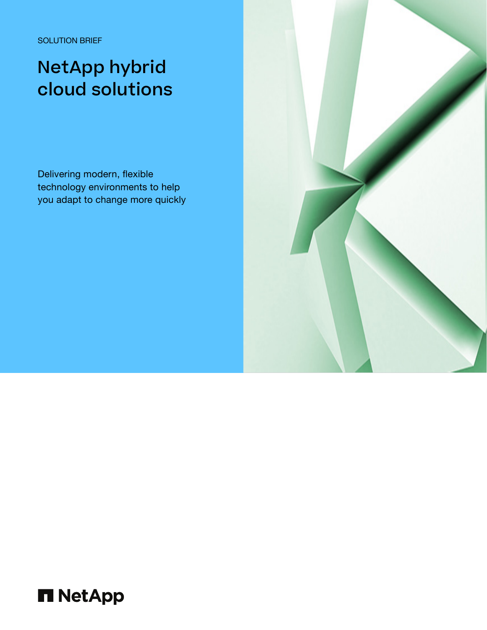SOLUTION BRIEF

# NetApp hybrid cloud solutions

Delivering modern, flexible technology environments to help you adapt to change more quickly



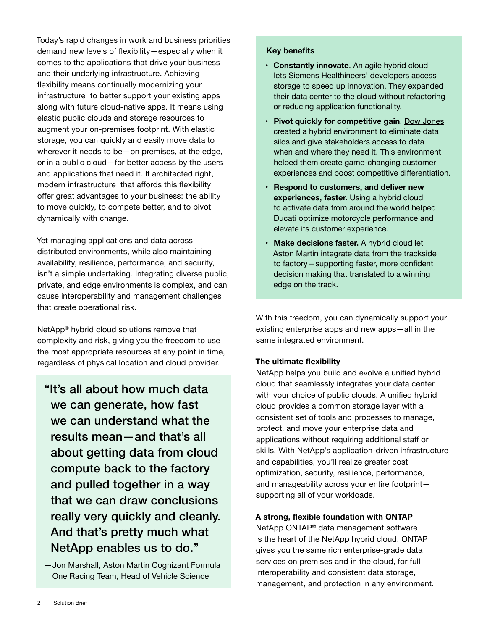Today's rapid changes in work and business priorities demand new levels of flexibility—especially when it comes to the applications that drive your business and their underlying infrastructure. Achieving flexibility means continually modernizing your infrastructure to better support your existing apps along with future cloud-native apps. It means using elastic public clouds and storage resources to augment your on-premises footprint. With elastic storage, you can quickly and easily move data to wherever it needs to be—on premises, at the edge, or in a public cloud—for better access by the users and applications that need it. If architected right, modern infrastructure that affords this flexibility offer great advantages to your business: the ability to move quickly, to compete better, and to pivot dynamically with change.

Yet managing applications and data across distributed environments, while also maintaining availability, resilience, performance, and security, isn't a simple undertaking. Integrating diverse public, private, and edge environments is complex, and can cause interoperability and management challenges that create operational risk.

NetApp® hybrid cloud solutions remove that complexity and risk, giving you the freedom to use the most appropriate resources at any point in time, regardless of physical location and cloud provider.

"It's all about how much data we can generate, how fast we can understand what the results mean—and that's all about getting data from cloud compute back to the factory and pulled together in a way that we can draw conclusions really very quickly and cleanly. And that's pretty much what NetApp enables us to do."

—Jon Marshall, Aston Martin Cognizant Formula One Racing Team, Head of Vehicle Science

#### **Key benefits**

- **• Constantly innovate**. An agile hybrid cloud lets [Siemens](https://www.netapp.com/customers/siemens-healthineers-cvo-case-study/) Healthineers' developers access storage to speed up innovation. They expanded their data center to the cloud without refactoring or reducing application functionality.
- **• Pivot quickly for competitive gain**. [Dow Jones](https://www.netapp.com/customers/dow-jones-data-fabric-case-study/) created a hybrid environment to eliminate data silos and give stakeholders access to data when and where they need it. This environment helped them create game-changing customer experiences and boost competitive differentiation.
- **• Respond to customers, and deliver new experiences, faster.** Using a hybrid cloud to activate data from around the world helped [Ducati](https://www.netapp.com/customers/ducati-data-fabric-case-study/) optimize motorcycle performance and elevate its customer experience.
- **• Make decisions faster.** A hybrid cloud let [Aston Martin](https://www.netapp.com/partnerships/aston-martin-formula-one/) integrate data from the trackside to factory—supporting faster, more confident decision making that translated to a winning edge on the track.

With this freedom, you can dynamically support your existing enterprise apps and new apps—all in the same integrated environment.

# **The ultimate flexibility**

NetApp helps you build and evolve a unified hybrid cloud that seamlessly integrates your data center with your choice of public clouds. A unified hybrid cloud provides a common storage layer with a consistent set of tools and processes to manage, protect, and move your enterprise data and applications without requiring additional staff or skills. With NetApp's application-driven infrastructure and capabilities, you'll realize greater cost optimization, security, resilience, performance, and manageability across your entire footprint supporting all of your workloads.

# **A strong, flexible foundation with ONTAP**

NetApp ONTAP® data management software is the heart of the NetApp hybrid cloud. ONTAP gives you the same rich enterprise-grade data services on premises and in the cloud, for full interoperability and consistent data storage, management, and protection in any environment.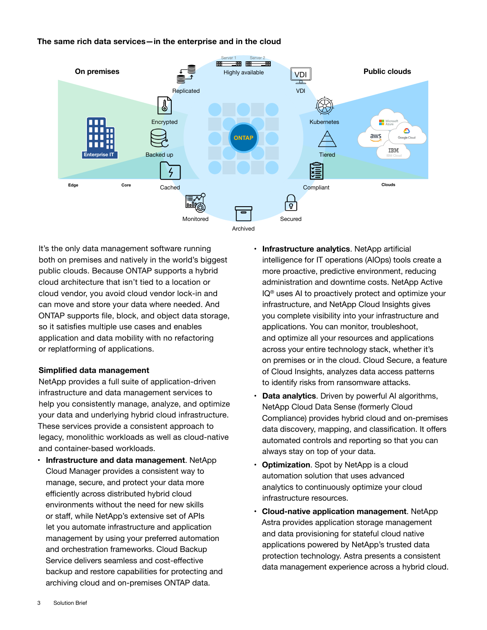The same rich data services—in the enterprise and in the cloud **The same rich data services—in the enterprise and in the cloud**



It's the only data management software running both on premises and natively in the world's biggest public clouds. Because ONTAP supports a hybrid cloud architecture that isn't tied to a location or cloud vendor, you avoid cloud vendor lock-in and can move and store your data where needed. And ONTAP supports file, block, and object data storage, so it satisfies multiple use cases and enables application and data mobility with no refactoring or replatforming of applications.

# **Simplified data management**

NetApp provides a full suite of application-driven infrastructure and data management services to help you consistently manage, analyze, and optimize your data and underlying hybrid cloud infrastructure. These services provide a consistent approach to legacy, monolithic workloads as well as cloud-native and container-based workloads.

**• Infrastructure and data management**. NetApp Cloud Manager provides a consistent way to manage, secure, and protect your data more efficiently across distributed hybrid cloud environments without the need for new skills or staff, while NetApp's extensive set of APIs let you automate infrastructure and application management by using your preferred automation and orchestration frameworks. Cloud Backup Service delivers seamless and cost-effective backup and restore capabilities for protecting and archiving cloud and on-premises ONTAP data.

- **• Infrastructure analytics**. NetApp artificial intelligence for IT operations (AIOps) tools create a more proactive, predictive environment, reducing administration and downtime costs. NetApp Active IQ® uses AI to proactively protect and optimize your infrastructure, and NetApp Cloud Insights gives you complete visibility into your infrastructure and applications. You can monitor, troubleshoot, and optimize all your resources and applications across your entire technology stack, whether it's on premises or in the cloud. Cloud Secure, a feature of Cloud Insights, analyzes data access patterns to identify risks from ransomware attacks.
- **Data analytics**. Driven by powerful AI algorithms, NetApp Cloud Data Sense (formerly Cloud Compliance) provides hybrid cloud and on-premises data discovery, mapping, and classification. It offers automated controls and reporting so that you can always stay on top of your data.
- **• Optimization**. Spot by NetApp is a cloud automation solution that uses advanced analytics to continuously optimize your cloud infrastructure resources.
- **• Cloud-native application management**. NetApp Astra provides application storage management and data provisioning for stateful cloud native applications powered by NetApp's trusted data protection technology. Astra presents a consistent data management experience across a hybrid cloud.